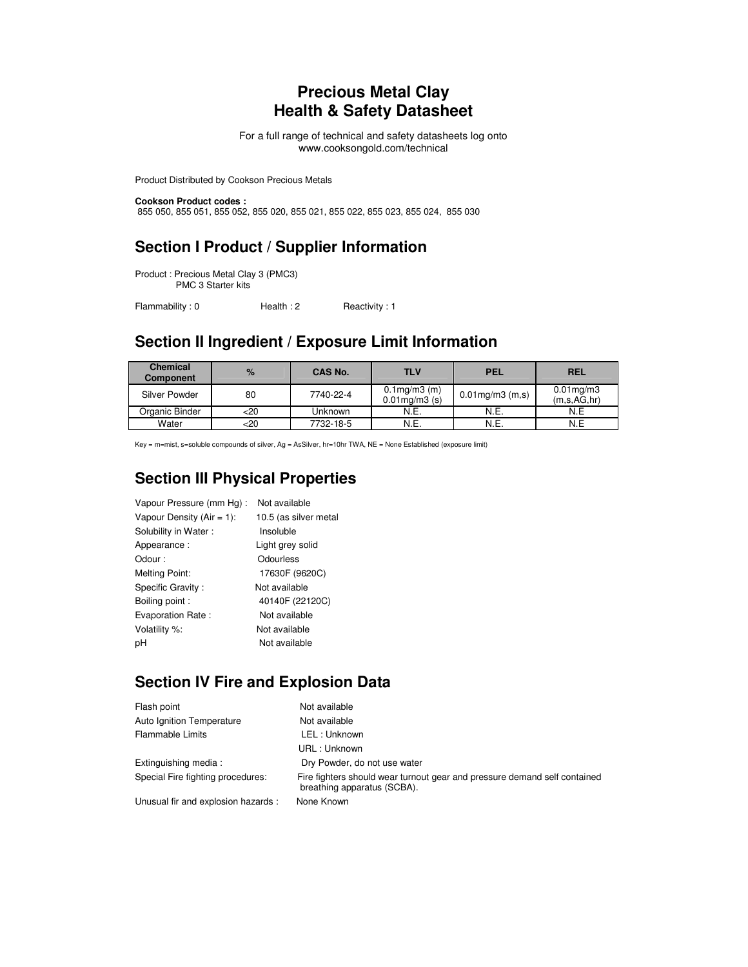#### **Precious Metal Clay Health & Safety Datasheet**

For a full range of technical and safety datasheets log onto www.cooksongold.com/technical

Product Distributed by Cookson Precious Metals

**Cookson Product codes :**  855 050, 855 051, 855 052, 855 020, 855 021, 855 022, 855 023, 855 024, 855 030

#### **Section I Product / Supplier Information**

Product : Precious Metal Clay 3 (PMC3) PMC 3 Starter kits

Flammability: 0 Health: 2 Reactivity: 1

## **Section II Ingredient / Exposure Limit Information**

| <b>Chemical</b><br>Component | $\%$ | CAS No.   | <b>TLV</b>                                | <b>PEL</b>            | <b>REL</b>                     |
|------------------------------|------|-----------|-------------------------------------------|-----------------------|--------------------------------|
| Silver Powder                | 80   | 7740-22-4 | $0.1$ mg/m $3$ (m)<br>$0.01$ mg/m $3$ (s) | $0.01$ mg/m $3$ (m,s) | $0.01$ mg/m $3$<br>(m,s,AG,hr) |
| Organic Binder               | <20  | Unknown   | N.E.                                      | N.E.                  | N.E                            |
| Water                        | <20  | 7732-18-5 | N.E.                                      | N.E.                  | N.E                            |

Key = m=mist, s=soluble compounds of silver, Ag = AsSilver, hr=10hr TWA, NE = None Established (exposure limit)

### **Section III Physical Properties**

| Vapour Pressure (mm Hg):     | Not available         |
|------------------------------|-----------------------|
| Vapour Density (Air = $1$ ): | 10.5 (as silver metal |
| Solubility in Water:         | Insoluble             |
| Appearance:                  | Light grey solid      |
| Odour:                       | Odourless             |
| <b>Melting Point:</b>        | 17630F (9620C)        |
| Specific Gravity:            | Not available         |
| Boiling point:               | 40140F (22120C)       |
| Evaporation Rate:            | Not available         |
| Volatility %:                | Not available         |
| pН                           | Not available         |

#### **Section IV Fire and Explosion Data**

| Flash point                         | Not available                                                                                            |
|-------------------------------------|----------------------------------------------------------------------------------------------------------|
| Auto Ignition Temperature           | Not available                                                                                            |
| <b>Flammable Limits</b>             | LEL: Unknown                                                                                             |
|                                     | URL: Unknown                                                                                             |
| Extinguishing media:                | Dry Powder, do not use water                                                                             |
| Special Fire fighting procedures:   | Fire fighters should wear turnout gear and pressure demand self contained<br>breathing apparatus (SCBA). |
| Unusual fir and explosion hazards : | None Known                                                                                               |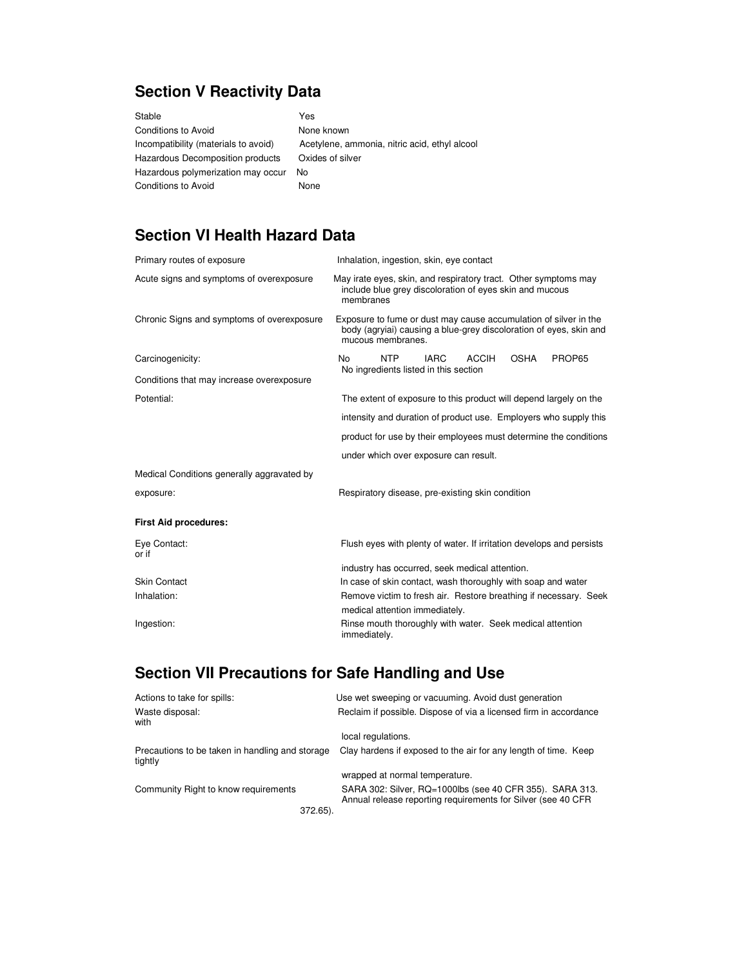# **Section V Reactivity Data**

| Yes                                           |
|-----------------------------------------------|
| None known                                    |
| Acetylene, ammonia, nitric acid, ethyl alcool |
| Oxides of silver                              |
| No.                                           |
| None                                          |
|                                               |

## **Section VI Health Hazard Data**

| Primary routes of exposure                 | Inhalation, ingestion, skin, eye contact                                                                                                                    |  |  |  |
|--------------------------------------------|-------------------------------------------------------------------------------------------------------------------------------------------------------------|--|--|--|
| Acute signs and symptoms of overexposure   | May irate eyes, skin, and respiratory tract. Other symptoms may<br>include blue grey discoloration of eyes skin and mucous<br>membranes                     |  |  |  |
| Chronic Signs and symptoms of overexposure | Exposure to fume or dust may cause accumulation of silver in the<br>body (agryiai) causing a blue-grey discoloration of eyes, skin and<br>mucous membranes. |  |  |  |
| Carcinogenicity:                           | <b>NTP</b><br><b>OSHA</b><br><b>IARC</b><br><b>ACCIH</b><br>PROP65<br>N <sub>0</sub><br>No ingredients listed in this section                               |  |  |  |
| Conditions that may increase overexposure  |                                                                                                                                                             |  |  |  |
| Potential:                                 | The extent of exposure to this product will depend largely on the                                                                                           |  |  |  |
|                                            | intensity and duration of product use. Employers who supply this                                                                                            |  |  |  |
|                                            | product for use by their employees must determine the conditions                                                                                            |  |  |  |
|                                            | under which over exposure can result.                                                                                                                       |  |  |  |
| Medical Conditions generally aggravated by |                                                                                                                                                             |  |  |  |
| exposure:                                  | Respiratory disease, pre-existing skin condition                                                                                                            |  |  |  |
| <b>First Aid procedures:</b>               |                                                                                                                                                             |  |  |  |
| Eye Contact:<br>or if                      | Flush eyes with plenty of water. If irritation develops and persists                                                                                        |  |  |  |
|                                            | industry has occurred, seek medical attention.                                                                                                              |  |  |  |
| <b>Skin Contact</b>                        | In case of skin contact, wash thoroughly with soap and water                                                                                                |  |  |  |
| Inhalation:                                | Remove victim to fresh air. Restore breathing if necessary. Seek<br>medical attention immediately.                                                          |  |  |  |
| Ingestion:                                 | Rinse mouth thoroughly with water. Seek medical attention<br>immediately.                                                                                   |  |  |  |

# **Section VII Precautions for Safe Handling and Use**

| Actions to take for spills:                                | Use wet sweeping or vacuuming. Avoid dust generation                                                                     |
|------------------------------------------------------------|--------------------------------------------------------------------------------------------------------------------------|
| Waste disposal:<br>with                                    | Reclaim if possible. Dispose of via a licensed firm in accordance                                                        |
|                                                            | local regulations.                                                                                                       |
| Precautions to be taken in handling and storage<br>tightly | Clay hardens if exposed to the air for any length of time. Keep                                                          |
|                                                            | wrapped at normal temperature.                                                                                           |
| Community Right to know requirements                       | SARA 302: Silver, RQ=1000lbs (see 40 CFR 355). SARA 313.<br>Annual release reporting requirements for Silver (see 40 CFR |
| 372.65).                                                   |                                                                                                                          |